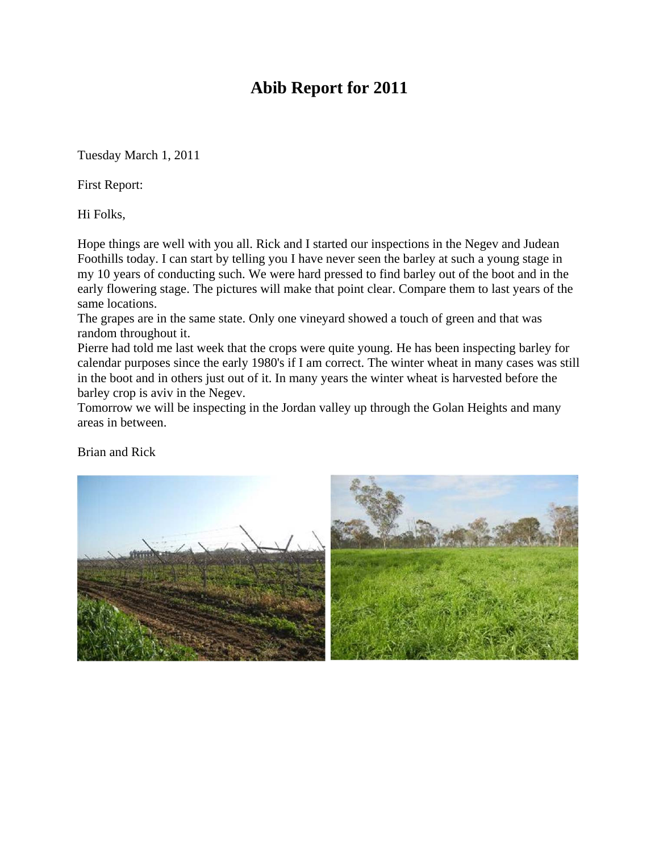# **Abib Report for 2011**

Tuesday March 1, 2011

First Report:

Hi Folks,

Hope things are well with you all. Rick and I started our inspections in the Negev and Judean Foothills today. I can start by telling you I have never seen the barley at such a young stage in my 10 years of conducting such. We were hard pressed to find barley out of the boot and in the early flowering stage. The pictures will make that point clear. Compare them to last years of the same locations.

The grapes are in the same state. Only one vineyard showed a touch of green and that was random throughout it.

Pierre had told me last week that the crops were quite young. He has been inspecting barley for calendar purposes since the early 1980's if I am correct. The winter wheat in many cases was still in the boot and in others just out of it. In many years the winter wheat is harvested before the barley crop is aviv in the Negev.

Tomorrow we will be inspecting in the Jordan valley up through the Golan Heights and many areas in between.

Brian and Rick

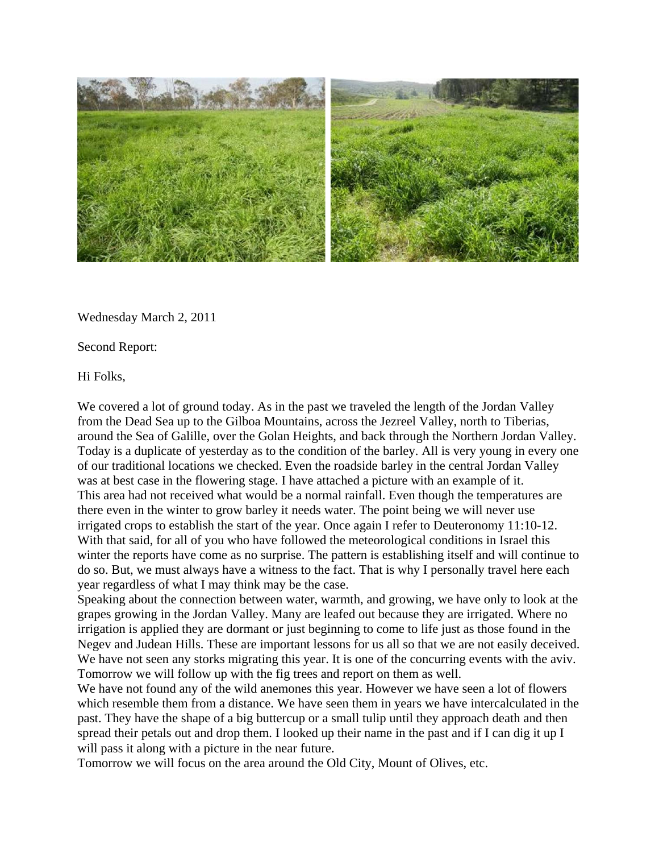

Wednesday March 2, 2011

Second Report:

Hi Folks,

We covered a lot of ground today. As in the past we traveled the length of the Jordan Valley from the Dead Sea up to the Gilboa Mountains, across the Jezreel Valley, north to Tiberias, around the Sea of Galille, over the Golan Heights, and back through the Northern Jordan Valley. Today is a duplicate of yesterday as to the condition of the barley. All is very young in every one of our traditional locations we checked. Even the roadside barley in the central Jordan Valley was at best case in the flowering stage. I have attached a picture with an example of it. This area had not received what would be a normal rainfall. Even though the temperatures are there even in the winter to grow barley it needs water. The point being we will never use irrigated crops to establish the start of the year. Once again I refer to Deuteronomy 11:10-12. With that said, for all of you who have followed the meteorological conditions in Israel this winter the reports have come as no surprise. The pattern is establishing itself and will continue to do so. But, we must always have a witness to the fact. That is why I personally travel here each year regardless of what I may think may be the case.

Speaking about the connection between water, warmth, and growing, we have only to look at the grapes growing in the Jordan Valley. Many are leafed out because they are irrigated. Where no irrigation is applied they are dormant or just beginning to come to life just as those found in the Negev and Judean Hills. These are important lessons for us all so that we are not easily deceived. We have not seen any storks migrating this year. It is one of the concurring events with the aviv. Tomorrow we will follow up with the fig trees and report on them as well.

We have not found any of the wild anemones this year. However we have seen a lot of flowers which resemble them from a distance. We have seen them in years we have intercalculated in the past. They have the shape of a big buttercup or a small tulip until they approach death and then spread their petals out and drop them. I looked up their name in the past and if I can dig it up I will pass it along with a picture in the near future.

Tomorrow we will focus on the area around the Old City, Mount of Olives, etc.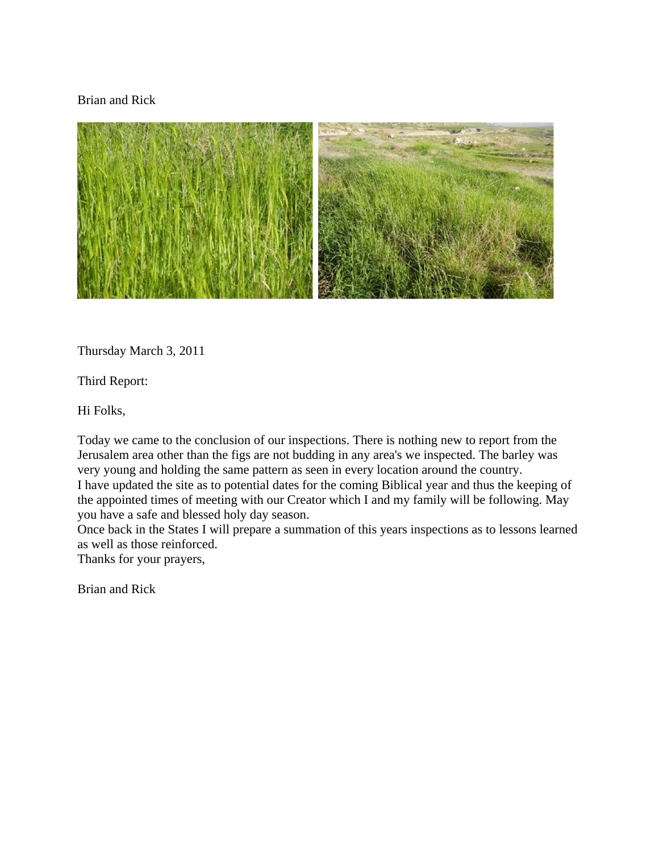### Brian and Rick



Thursday March 3, 2011

Third Report:

Hi Folks,

Today we came to the conclusion of our inspections. There is nothing new to report from the Jerusalem area other than the figs are not budding in any area's we inspected. The barley was very young and holding the same pattern as seen in every location around the country. I have updated the site as to potential dates for the coming Biblical year and thus the keeping of the appointed times of meeting with our Creator which I and my family will be following. May you have a safe and blessed holy day season.

Once back in the States I will prepare a summation of this years inspections as to lessons learned as well as those reinforced.

Thanks for your prayers,

Brian and Rick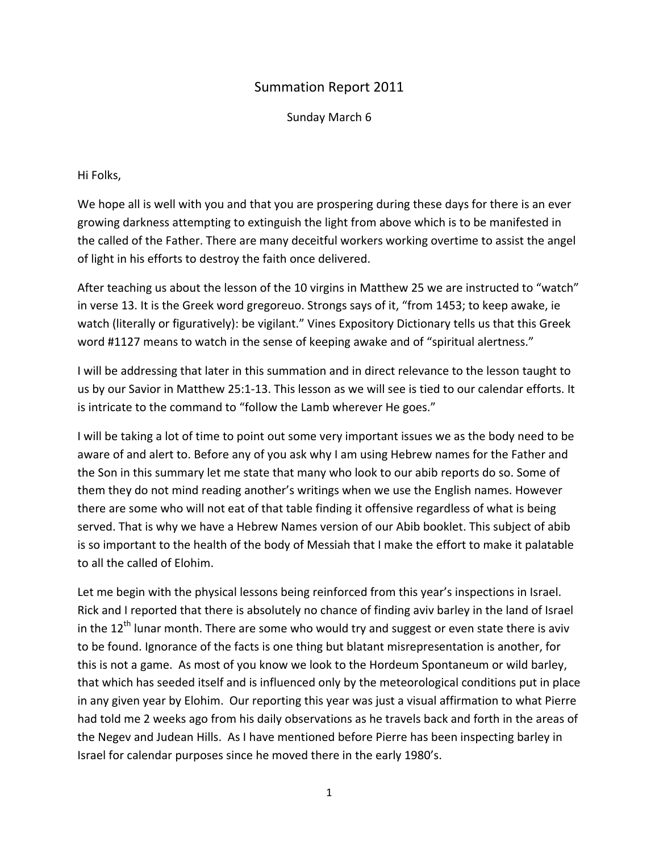## Summation Report 2011

Sunday March 6

### Hi Folks,

We hope all is well with you and that you are prospering during these days for there is an ever growing darkness attempting to extinguish the light from above which is to be manifested in the called of the Father. There are many deceitful workers working overtime to assist the angel of light in his efforts to destroy the faith once delivered.

After teaching us about the lesson of the 10 virgins in Matthew 25 we are instructed to "watch" in verse 13. It is the Greek word gregoreuo. Strongs says of it, "from 1453; to keep awake, ie watch (literally or figuratively): be vigilant." Vines Expository Dictionary tells us that this Greek word #1127 means to watch in the sense of keeping awake and of "spiritual alertness."

I will be addressing that later in this summation and in direct relevance to the lesson taught to us by our Savior in Matthew 25:1‐13. This lesson as we will see is tied to our calendar efforts. It is intricate to the command to "follow the Lamb wherever He goes."

I will be taking a lot of time to point out some very important issues we as the body need to be aware of and alert to. Before any of you ask why I am using Hebrew names for the Father and the Son in this summary let me state that many who look to our abib reports do so. Some of them they do not mind reading another's writings when we use the English names. However there are some who will not eat of that table finding it offensive regardless of what is being served. That is why we have a Hebrew Names version of our Abib booklet. This subject of abib is so important to the health of the body of Messiah that I make the effort to make it palatable to all the called of Elohim.

Let me begin with the physical lessons being reinforced from this year's inspections in Israel. Rick and I reported that there is absolutely no chance of finding aviv barley in the land of Israel in the  $12<sup>th</sup>$  lunar month. There are some who would try and suggest or even state there is aviv to be found. Ignorance of the facts is one thing but blatant misrepresentation is another, for this is not a game. As most of you know we look to the Hordeum Spontaneum or wild barley, that which has seeded itself and is influenced only by the meteorological conditions put in place in any given year by Elohim. Our reporting this year was just a visual affirmation to what Pierre had told me 2 weeks ago from his daily observations as he travels back and forth in the areas of the Negev and Judean Hills. As I have mentioned before Pierre has been inspecting barley in Israel for calendar purposes since he moved there in the early 1980's.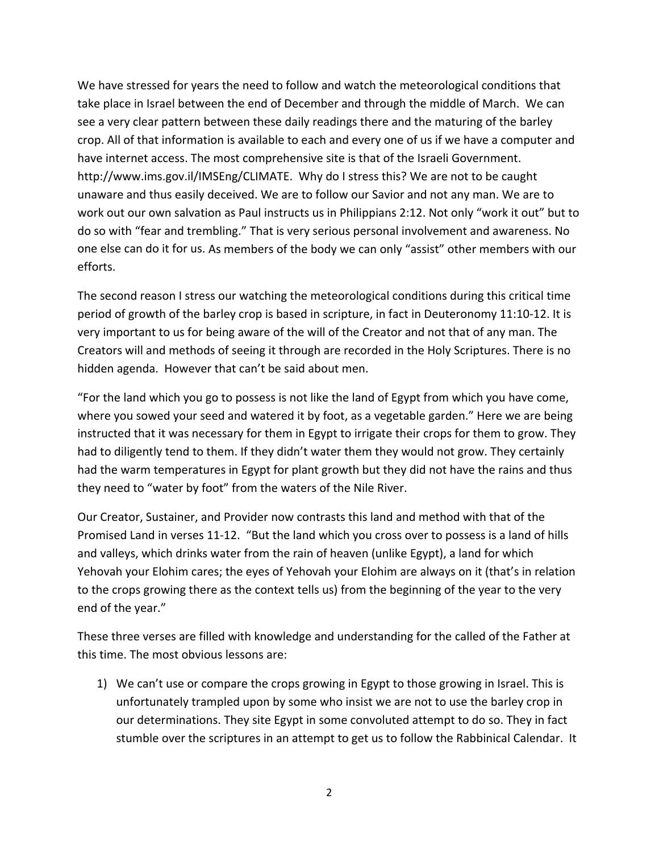We have stressed for years the need to follow and watch the meteorological conditions that take place in Israel between the end of December and through the middle of March. We can see a very clear pattern between these daily readings there and the maturing of the barley crop. All of that information is available to each and every one of us if we have a computer and have internet access. The most comprehensive site is that of the Israeli Government. http://www.ims.gov.il/IMSEng/CLIMATE. Why do I stress this? We are not to be caught unaware and thus easily deceived. We are to follow our Savior and not any man. We are to work out our own salvation as Paul instructs us in Philippians 2:12. Not only "work it out" but to do so with "fear and trembling." That is very serious personal involvement and awareness. No one else can do it for us. As members of the body we can only "assist" other members with our efforts.

The second reason I stress our watching the meteorological conditions during this critical time period of growth of the barley crop is based in scripture, in fact in Deuteronomy 11:10‐12. It is very important to us for being aware of the will of the Creator and not that of any man. The Creators will and methods of seeing it through are recorded in the Holy Scriptures. There is no hidden agenda. However that can't be said about men.

"For the land which you go to possess is not like the land of Egypt from which you have come, where you sowed your seed and watered it by foot, as a vegetable garden." Here we are being instructed that it was necessary for them in Egypt to irrigate their crops for them to grow. They had to diligently tend to them. If they didn't water them they would not grow. They certainly had the warm temperatures in Egypt for plant growth but they did not have the rains and thus they need to "water by foot" from the waters of the Nile River.

Our Creator, Sustainer, and Provider now contrasts this land and method with that of the Promised Land in verses 11‐12. "But the land which you cross over to possess is a land of hills and valleys, which drinks water from the rain of heaven (unlike Egypt), a land for which Yehovah your Elohim cares; the eyes of Yehovah your Elohim are always on it (that's in relation to the crops growing there as the context tells us) from the beginning of the year to the very end of the year."

These three verses are filled with knowledge and understanding for the called of the Father at this time. The most obvious lessons are:

1) We can't use or compare the crops growing in Egypt to those growing in Israel. This is unfortunately trampled upon by some who insist we are not to use the barley crop in our determinations. They site Egypt in some convoluted attempt to do so. They in fact stumble over the scriptures in an attempt to get us to follow the Rabbinical Calendar. It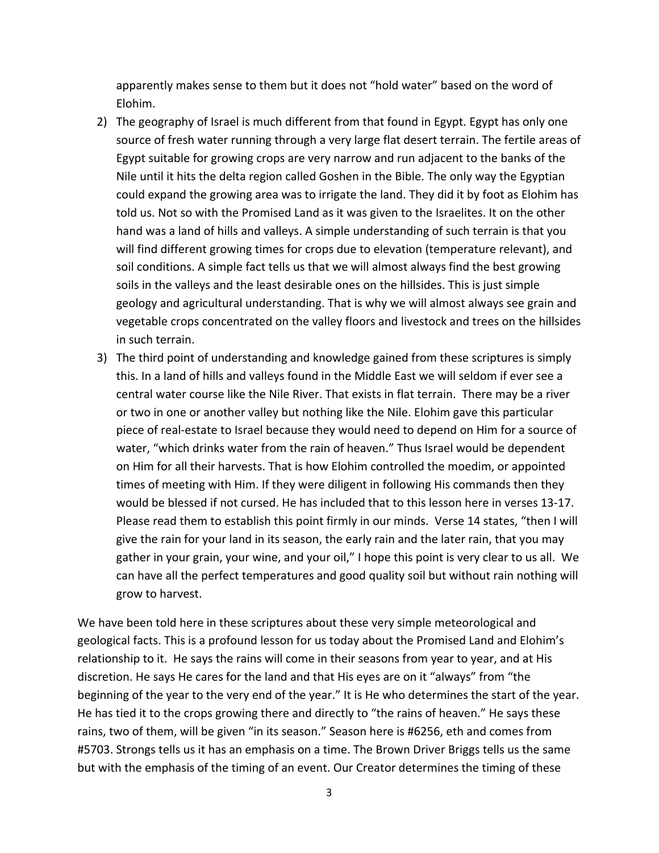apparently makes sense to them but it does not "hold water" based on the word of Elohim.

- 2) The geography of Israel is much different from that found in Egypt. Egypt has only one source of fresh water running through a very large flat desert terrain. The fertile areas of Egypt suitable for growing crops are very narrow and run adjacent to the banks of the Nile until it hits the delta region called Goshen in the Bible. The only way the Egyptian could expand the growing area was to irrigate the land. They did it by foot as Elohim has told us. Not so with the Promised Land as it was given to the Israelites. It on the other hand was a land of hills and valleys. A simple understanding of such terrain is that you will find different growing times for crops due to elevation (temperature relevant), and soil conditions. A simple fact tells us that we will almost always find the best growing soils in the valleys and the least desirable ones on the hillsides. This is just simple geology and agricultural understanding. That is why we will almost always see grain and vegetable crops concentrated on the valley floors and livestock and trees on the hillsides in such terrain.
- 3) The third point of understanding and knowledge gained from these scriptures is simply this. In a land of hills and valleys found in the Middle East we will seldom if ever see a central water course like the Nile River. That exists in flat terrain. There may be a river or two in one or another valley but nothing like the Nile. Elohim gave this particular piece of real‐estate to Israel because they would need to depend on Him for a source of water, "which drinks water from the rain of heaven." Thus Israel would be dependent on Him for all their harvests. That is how Elohim controlled the moedim, or appointed times of meeting with Him. If they were diligent in following His commands then they would be blessed if not cursed. He has included that to this lesson here in verses 13‐17. Please read them to establish this point firmly in our minds. Verse 14 states, "then I will give the rain for your land in its season, the early rain and the later rain, that you may gather in your grain, your wine, and your oil," I hope this point is very clear to us all. We can have all the perfect temperatures and good quality soil but without rain nothing will grow to harvest.

We have been told here in these scriptures about these very simple meteorological and geological facts. This is a profound lesson for us today about the Promised Land and Elohim's relationship to it. He says the rains will come in their seasons from year to year, and at His discretion. He says He cares for the land and that His eyes are on it "always" from "the beginning of the year to the very end of the year." It is He who determines the start of the year. He has tied it to the crops growing there and directly to "the rains of heaven." He says these rains, two of them, will be given "in its season." Season here is #6256, eth and comes from #5703. Strongs tells us it has an emphasis on a time. The Brown Driver Briggs tells us the same but with the emphasis of the timing of an event. Our Creator determines the timing of these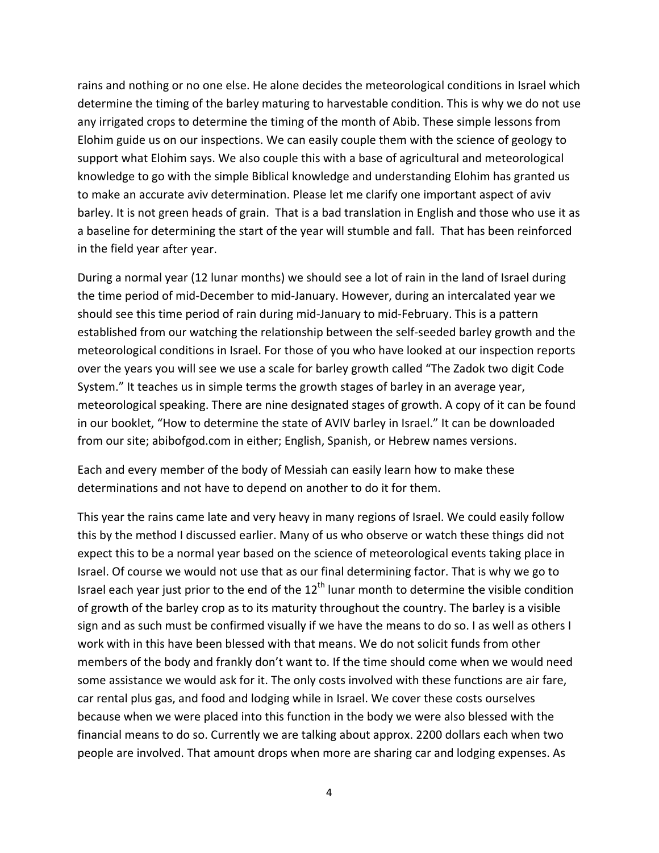rains and nothing or no one else. He alone decides the meteorological conditions in Israel which determine the timing of the barley maturing to harvestable condition. This is why we do not use any irrigated crops to determine the timing of the month of Abib. These simple lessons from Elohim guide us on our inspections. We can easily couple them with the science of geology to support what Elohim says. We also couple this with a base of agricultural and meteorological knowledge to go with the simple Biblical knowledge and understanding Elohim has granted us to make an accurate aviv determination. Please let me clarify one important aspect of aviv barley. It is not green heads of grain. That is a bad translation in English and those who use it as a baseline for determining the start of the year will stumble and fall. That has been reinforced in the field year after year.

During a normal year (12 lunar months) we should see a lot of rain in the land of Israel during the time period of mid‐December to mid‐January. However, during an intercalated year we should see this time period of rain during mid‐January to mid‐February. This is a pattern established from our watching the relationship between the self‐seeded barley growth and the meteorological conditions in Israel. For those of you who have looked at our inspection reports over the years you will see we use a scale for barley growth called "The Zadok two digit Code System." It teaches us in simple terms the growth stages of barley in an average year, meteorological speaking. There are nine designated stages of growth. A copy of it can be found in our booklet, "How to determine the state of AVIV barley in Israel." It can be downloaded from our site; abibofgod.com in either; English, Spanish, or Hebrew names versions.

Each and every member of the body of Messiah can easily learn how to make these determinations and not have to depend on another to do it for them.

This year the rains came late and very heavy in many regions of Israel. We could easily follow this by the method I discussed earlier. Many of us who observe or watch these things did not expect this to be a normal year based on the science of meteorological events taking place in Israel. Of course we would not use that as our final determining factor. That is why we go to Israel each year just prior to the end of the  $12<sup>th</sup>$  lunar month to determine the visible condition of growth of the barley crop as to its maturity throughout the country. The barley is a visible sign and as such must be confirmed visually if we have the means to do so. I as well as others I work with in this have been blessed with that means. We do not solicit funds from other members of the body and frankly don't want to. If the time should come when we would need some assistance we would ask for it. The only costs involved with these functions are air fare, car rental plus gas, and food and lodging while in Israel. We cover these costs ourselves because when we were placed into this function in the body we were also blessed with the financial means to do so. Currently we are talking about approx. 2200 dollars each when two people are involved. That amount drops when more are sharing car and lodging expenses. As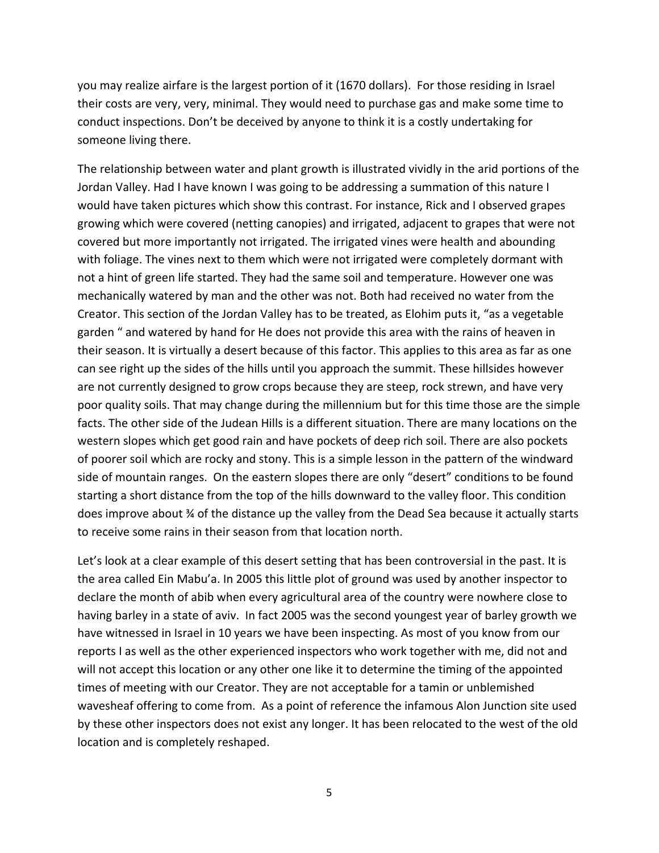you may realize airfare is the largest portion of it (1670 dollars). For those residing in Israel their costs are very, very, minimal. They would need to purchase gas and make some time to conduct inspections. Don't be deceived by anyone to think it is a costly undertaking for someone living there.

The relationship between water and plant growth is illustrated vividly in the arid portions of the Jordan Valley. Had I have known I was going to be addressing a summation of this nature I would have taken pictures which show this contrast. For instance, Rick and I observed grapes growing which were covered (netting canopies) and irrigated, adjacent to grapes that were not covered but more importantly not irrigated. The irrigated vines were health and abounding with foliage. The vines next to them which were not irrigated were completely dormant with not a hint of green life started. They had the same soil and temperature. However one was mechanically watered by man and the other was not. Both had received no water from the Creator. This section of the Jordan Valley has to be treated, as Elohim puts it, "as a vegetable garden " and watered by hand for He does not provide this area with the rains of heaven in their season. It is virtually a desert because of this factor. This applies to this area as far as one can see right up the sides of the hills until you approach the summit. These hillsides however are not currently designed to grow crops because they are steep, rock strewn, and have very poor quality soils. That may change during the millennium but for this time those are the simple facts. The other side of the Judean Hills is a different situation. There are many locations on the western slopes which get good rain and have pockets of deep rich soil. There are also pockets of poorer soil which are rocky and stony. This is a simple lesson in the pattern of the windward side of mountain ranges. On the eastern slopes there are only "desert" conditions to be found starting a short distance from the top of the hills downward to the valley floor. This condition does improve about ¾ of the distance up the valley from the Dead Sea because it actually starts to receive some rains in their season from that location north.

Let's look at a clear example of this desert setting that has been controversial in the past. It is the area called Ein Mabu'a. In 2005 this little plot of ground was used by another inspector to declare the month of abib when every agricultural area of the country were nowhere close to having barley in a state of aviv. In fact 2005 was the second youngest year of barley growth we have witnessed in Israel in 10 years we have been inspecting. As most of you know from our reports I as well as the other experienced inspectors who work together with me, did not and will not accept this location or any other one like it to determine the timing of the appointed times of meeting with our Creator. They are not acceptable for a tamin or unblemished wavesheaf offering to come from. As a point of reference the infamous Alon Junction site used by these other inspectors does not exist any longer. It has been relocated to the west of the old location and is completely reshaped.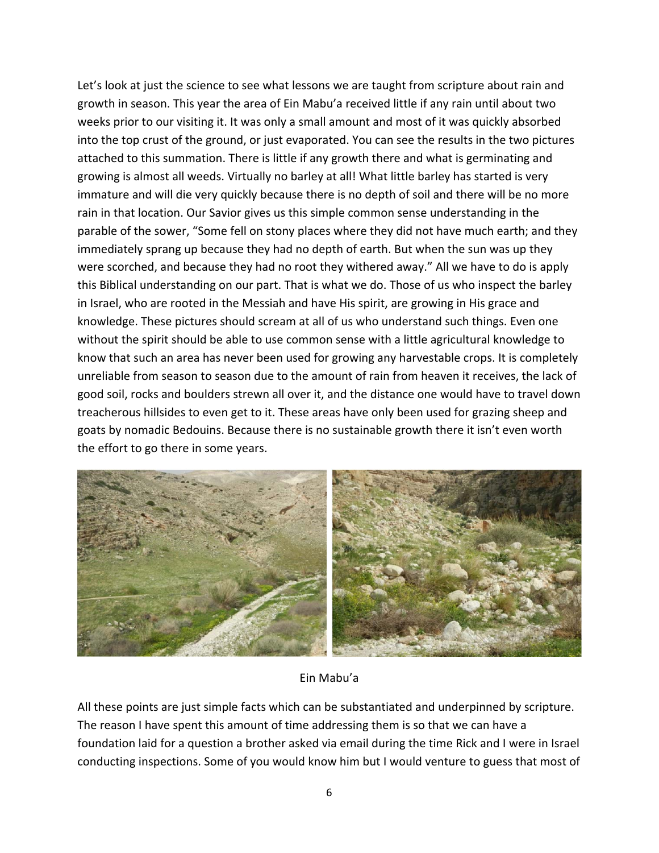Let's look at just the science to see what lessons we are taught from scripture about rain and growth in season. This year the area of Ein Mabu'a received little if any rain until about two weeks prior to our visiting it. It was only a small amount and most of it was quickly absorbed into the top crust of the ground, or just evaporated. You can see the results in the two pictures attached to this summation. There is little if any growth there and what is germinating and growing is almost all weeds. Virtually no barley at all! What little barley has started is very immature and will die very quickly because there is no depth of soil and there will be no more rain in that location. Our Savior gives us this simple common sense understanding in the parable of the sower, "Some fell on stony places where they did not have much earth; and they immediately sprang up because they had no depth of earth. But when the sun was up they were scorched, and because they had no root they withered away." All we have to do is apply this Biblical understanding on our part. That is what we do. Those of us who inspect the barley in Israel, who are rooted in the Messiah and have His spirit, are growing in His grace and knowledge. These pictures should scream at all of us who understand such things. Even one without the spirit should be able to use common sense with a little agricultural knowledge to know that such an area has never been used for growing any harvestable crops. It is completely unreliable from season to season due to the amount of rain from heaven it receives, the lack of good soil, rocks and boulders strewn all over it, and the distance one would have to travel down treacherous hillsides to even get to it. These areas have only been used for grazing sheep and goats by nomadic Bedouins. Because there is no sustainable growth there it isn't even worth the effort to go there in some years.



Ein Mabu'a

All these points are just simple facts which can be substantiated and underpinned by scripture. The reason I have spent this amount of time addressing them is so that we can have a foundation laid for a question a brother asked via email during the time Rick and I were in Israel conducting inspections. Some of you would know him but I would venture to guess that most of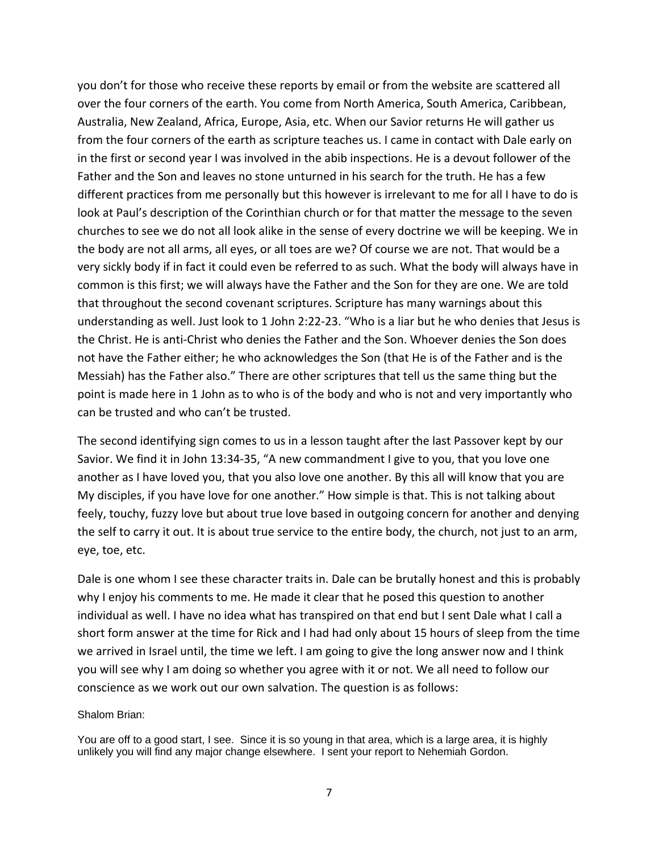you don't for those who receive these reports by email or from the website are scattered all over the four corners of the earth. You come from North America, South America, Caribbean, Australia, New Zealand, Africa, Europe, Asia, etc. When our Savior returns He will gather us from the four corners of the earth as scripture teaches us. I came in contact with Dale early on in the first or second year I was involved in the abib inspections. He is a devout follower of the Father and the Son and leaves no stone unturned in his search for the truth. He has a few different practices from me personally but this however is irrelevant to me for all I have to do is look at Paul's description of the Corinthian church or for that matter the message to the seven churches to see we do not all look alike in the sense of every doctrine we will be keeping. We in the body are not all arms, all eyes, or all toes are we? Of course we are not. That would be a very sickly body if in fact it could even be referred to as such. What the body will always have in common is this first; we will always have the Father and the Son for they are one. We are told that throughout the second covenant scriptures. Scripture has many warnings about this understanding as well. Just look to 1 John 2:22‐23. "Who is a liar but he who denies that Jesus is the Christ. He is anti‐Christ who denies the Father and the Son. Whoever denies the Son does not have the Father either; he who acknowledges the Son (that He is of the Father and is the Messiah) has the Father also." There are other scriptures that tell us the same thing but the point is made here in 1 John as to who is of the body and who is not and very importantly who can be trusted and who can't be trusted.

The second identifying sign comes to us in a lesson taught after the last Passover kept by our Savior. We find it in John 13:34‐35, "A new commandment I give to you, that you love one another as I have loved you, that you also love one another. By this all will know that you are My disciples, if you have love for one another." How simple is that. This is not talking about feely, touchy, fuzzy love but about true love based in outgoing concern for another and denying the self to carry it out. It is about true service to the entire body, the church, not just to an arm, eye, toe, etc.

Dale is one whom I see these character traits in. Dale can be brutally honest and this is probably why I enjoy his comments to me. He made it clear that he posed this question to another individual as well. I have no idea what has transpired on that end but I sent Dale what I call a short form answer at the time for Rick and I had had only about 15 hours of sleep from the time we arrived in Israel until, the time we left. I am going to give the long answer now and I think you will see why I am doing so whether you agree with it or not. We all need to follow our conscience as we work out our own salvation. The question is as follows:

#### Shalom Brian:

You are off to a good start, I see. Since it is so young in that area, which is a large area, it is highly unlikely you will find any major change elsewhere. I sent your report to Nehemiah Gordon.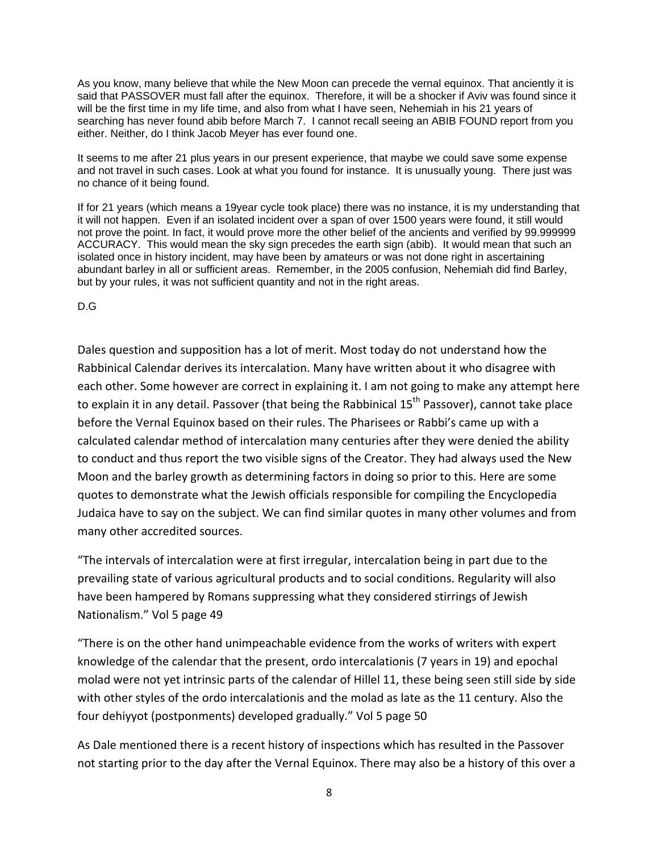As you know, many believe that while the New Moon can precede the vernal equinox. That anciently it is said that PASSOVER must fall after the equinox. Therefore, it will be a shocker if Aviv was found since it will be the first time in my life time, and also from what I have seen, Nehemiah in his 21 years of searching has never found abib before March 7. I cannot recall seeing an ABIB FOUND report from you either. Neither, do I think Jacob Meyer has ever found one.

It seems to me after 21 plus years in our present experience, that maybe we could save some expense and not travel in such cases. Look at what you found for instance. It is unusually young. There just was no chance of it being found.

If for 21 years (which means a 19year cycle took place) there was no instance, it is my understanding that it will not happen. Even if an isolated incident over a span of over 1500 years were found, it still would not prove the point. In fact, it would prove more the other belief of the ancients and verified by 99.999999 ACCURACY. This would mean the sky sign precedes the earth sign (abib). It would mean that such an isolated once in history incident, may have been by amateurs or was not done right in ascertaining abundant barley in all or sufficient areas. Remember, in the 2005 confusion, Nehemiah did find Barley, but by your rules, it was not sufficient quantity and not in the right areas.

D.G

Dales question and supposition has a lot of merit. Most today do not understand how the Rabbinical Calendar derives its intercalation. Many have written about it who disagree with each other. Some however are correct in explaining it. I am not going to make any attempt here to explain it in any detail. Passover (that being the Rabbinical 15<sup>th</sup> Passover), cannot take place before the Vernal Equinox based on their rules. The Pharisees or Rabbi's came up with a calculated calendar method of intercalation many centuries after they were denied the ability to conduct and thus report the two visible signs of the Creator. They had always used the New Moon and the barley growth as determining factors in doing so prior to this. Here are some quotes to demonstrate what the Jewish officials responsible for compiling the Encyclopedia Judaica have to say on the subject. We can find similar quotes in many other volumes and from many other accredited sources.

"The intervals of intercalation were at first irregular, intercalation being in part due to the prevailing state of various agricultural products and to social conditions. Regularity will also have been hampered by Romans suppressing what they considered stirrings of Jewish Nationalism." Vol 5 page 49

"There is on the other hand unimpeachable evidence from the works of writers with expert knowledge of the calendar that the present, ordo intercalationis (7 years in 19) and epochal molad were not yet intrinsic parts of the calendar of Hillel 11, these being seen still side by side with other styles of the ordo intercalationis and the molad as late as the 11 century. Also the four dehiyyot (postponments) developed gradually." Vol 5 page 50

As Dale mentioned there is a recent history of inspections which has resulted in the Passover not starting prior to the day after the Vernal Equinox. There may also be a history of this over a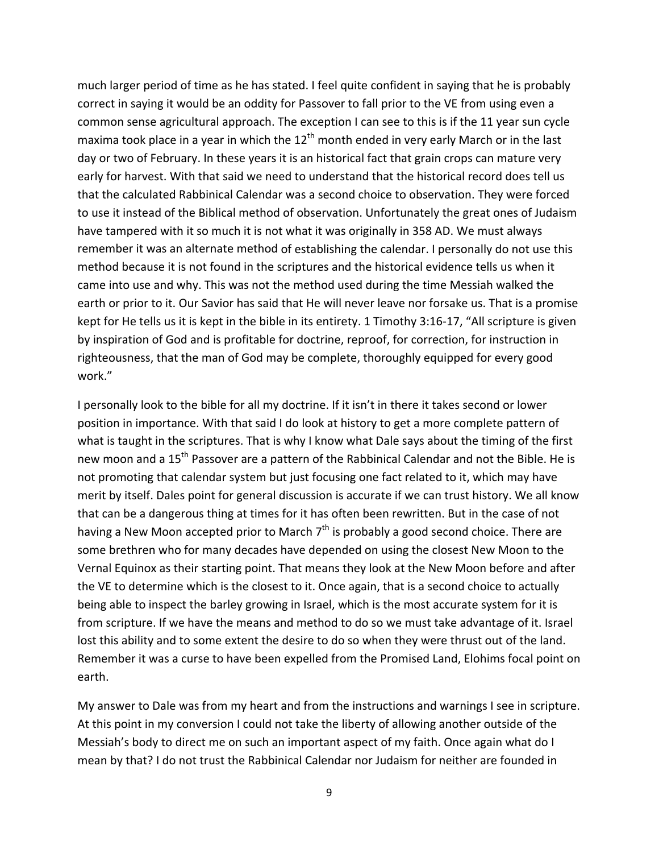much larger period of time as he has stated. I feel quite confident in saying that he is probably correct in saying it would be an oddity for Passover to fall prior to the VE from using even a common sense agricultural approach. The exception I can see to this is if the 11 year sun cycle maxima took place in a year in which the  $12<sup>th</sup>$  month ended in very early March or in the last day or two of February. In these years it is an historical fact that grain crops can mature very early for harvest. With that said we need to understand that the historical record does tell us that the calculated Rabbinical Calendar was a second choice to observation. They were forced to use it instead of the Biblical method of observation. Unfortunately the great ones of Judaism have tampered with it so much it is not what it was originally in 358 AD. We must always remember it was an alternate method of establishing the calendar. I personally do not use this method because it is not found in the scriptures and the historical evidence tells us when it came into use and why. This was not the method used during the time Messiah walked the earth or prior to it. Our Savior has said that He will never leave nor forsake us. That is a promise kept for He tells us it is kept in the bible in its entirety. 1 Timothy 3:16‐17, "All scripture is given by inspiration of God and is profitable for doctrine, reproof, for correction, for instruction in righteousness, that the man of God may be complete, thoroughly equipped for every good work."

I personally look to the bible for all my doctrine. If it isn't in there it takes second or lower position in importance. With that said I do look at history to get a more complete pattern of what is taught in the scriptures. That is why I know what Dale says about the timing of the first new moon and a 15<sup>th</sup> Passover are a pattern of the Rabbinical Calendar and not the Bible. He is not promoting that calendar system but just focusing one fact related to it, which may have merit by itself. Dales point for general discussion is accurate if we can trust history. We all know that can be a dangerous thing at times for it has often been rewritten. But in the case of not having a New Moon accepted prior to March  $7<sup>th</sup>$  is probably a good second choice. There are some brethren who for many decades have depended on using the closest New Moon to the Vernal Equinox as their starting point. That means they look at the New Moon before and after the VE to determine which is the closest to it. Once again, that is a second choice to actually being able to inspect the barley growing in Israel, which is the most accurate system for it is from scripture. If we have the means and method to do so we must take advantage of it. Israel lost this ability and to some extent the desire to do so when they were thrust out of the land. Remember it was a curse to have been expelled from the Promised Land, Elohims focal point on earth.

My answer to Dale was from my heart and from the instructions and warnings I see in scripture. At this point in my conversion I could not take the liberty of allowing another outside of the Messiah's body to direct me on such an important aspect of my faith. Once again what do I mean by that? I do not trust the Rabbinical Calendar nor Judaism for neither are founded in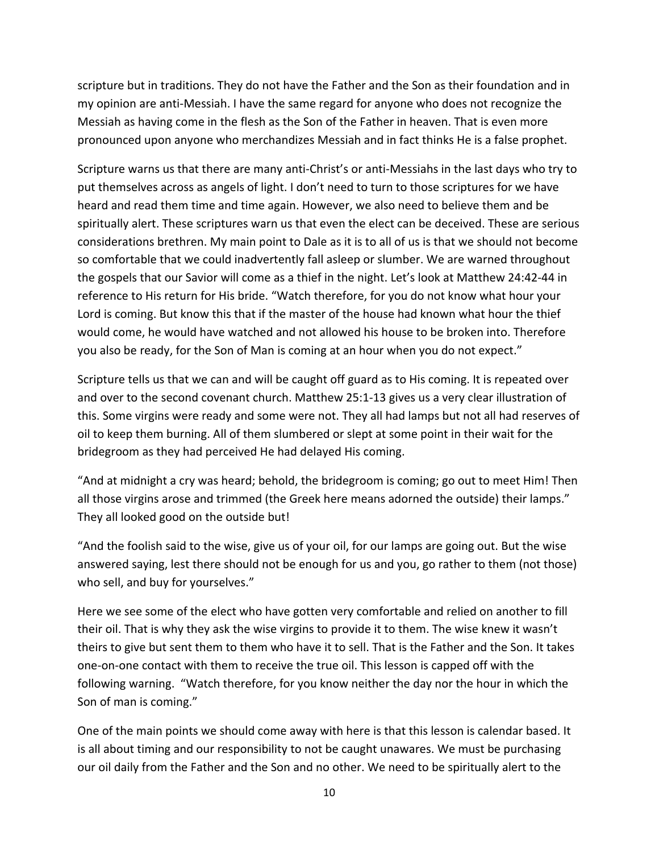scripture but in traditions. They do not have the Father and the Son as their foundation and in my opinion are anti‐Messiah. I have the same regard for anyone who does not recognize the Messiah as having come in the flesh as the Son of the Father in heaven. That is even more pronounced upon anyone who merchandizes Messiah and in fact thinks He is a false prophet.

Scripture warns us that there are many anti‐Christ's or anti‐Messiahs in the last days who try to put themselves across as angels of light. I don't need to turn to those scriptures for we have heard and read them time and time again. However, we also need to believe them and be spiritually alert. These scriptures warn us that even the elect can be deceived. These are serious considerations brethren. My main point to Dale as it is to all of us is that we should not become so comfortable that we could inadvertently fall asleep or slumber. We are warned throughout the gospels that our Savior will come as a thief in the night. Let's look at Matthew 24:42‐44 in reference to His return for His bride. "Watch therefore, for you do not know what hour your Lord is coming. But know this that if the master of the house had known what hour the thief would come, he would have watched and not allowed his house to be broken into. Therefore you also be ready, for the Son of Man is coming at an hour when you do not expect."

Scripture tells us that we can and will be caught off guard as to His coming. It is repeated over and over to the second covenant church. Matthew 25:1‐13 gives us a very clear illustration of this. Some virgins were ready and some were not. They all had lamps but not all had reserves of oil to keep them burning. All of them slumbered or slept at some point in their wait for the bridegroom as they had perceived He had delayed His coming.

"And at midnight a cry was heard; behold, the bridegroom is coming; go out to meet Him! Then all those virgins arose and trimmed (the Greek here means adorned the outside) their lamps." They all looked good on the outside but!

"And the foolish said to the wise, give us of your oil, for our lamps are going out. But the wise answered saying, lest there should not be enough for us and you, go rather to them (not those) who sell, and buy for yourselves."

Here we see some of the elect who have gotten very comfortable and relied on another to fill their oil. That is why they ask the wise virgins to provide it to them. The wise knew it wasn't theirs to give but sent them to them who have it to sell. That is the Father and the Son. It takes one‐on‐one contact with them to receive the true oil. This lesson is capped off with the following warning. "Watch therefore, for you know neither the day nor the hour in which the Son of man is coming."

One of the main points we should come away with here is that this lesson is calendar based. It is all about timing and our responsibility to not be caught unawares. We must be purchasing our oil daily from the Father and the Son and no other. We need to be spiritually alert to the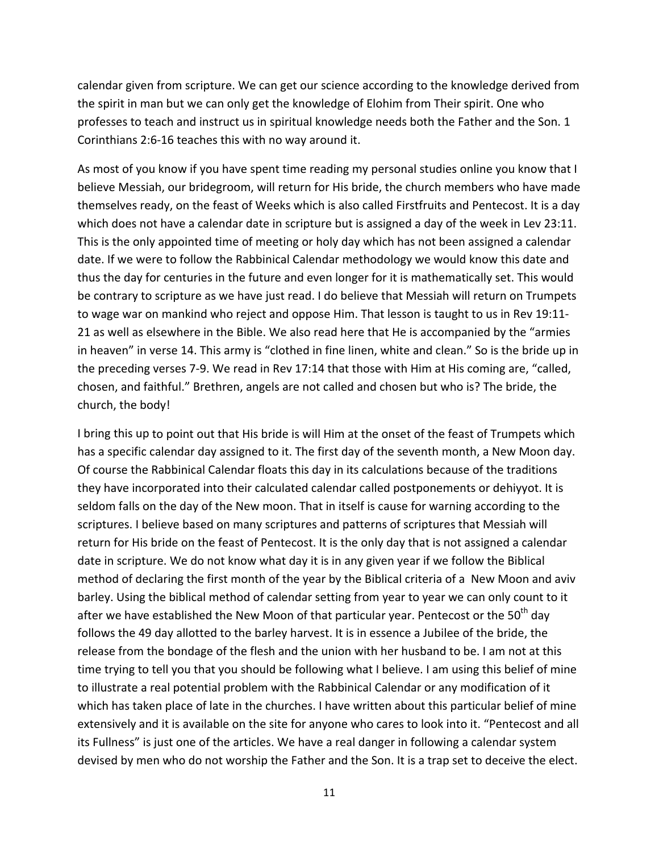calendar given from scripture. We can get our science according to the knowledge derived from the spirit in man but we can only get the knowledge of Elohim from Their spirit. One who professes to teach and instruct us in spiritual knowledge needs both the Father and the Son. 1 Corinthians 2:6‐16 teaches this with no way around it.

As most of you know if you have spent time reading my personal studies online you know that I believe Messiah, our bridegroom, will return for His bride, the church members who have made themselves ready, on the feast of Weeks which is also called Firstfruits and Pentecost. It is a day which does not have a calendar date in scripture but is assigned a day of the week in Lev 23:11. This is the only appointed time of meeting or holy day which has not been assigned a calendar date. If we were to follow the Rabbinical Calendar methodology we would know this date and thus the day for centuries in the future and even longer for it is mathematically set. This would be contrary to scripture as we have just read. I do believe that Messiah will return on Trumpets to wage war on mankind who reject and oppose Him. That lesson is taught to us in Rev 19:11‐ 21 as well as elsewhere in the Bible. We also read here that He is accompanied by the "armies in heaven" in verse 14. This army is "clothed in fine linen, white and clean." So is the bride up in the preceding verses 7‐9. We read in Rev 17:14 that those with Him at His coming are, "called, chosen, and faithful." Brethren, angels are not called and chosen but who is? The bride, the church, the body!

I bring this up to point out that His bride is will Him at the onset of the feast of Trumpets which has a specific calendar day assigned to it. The first day of the seventh month, a New Moon day. Of course the Rabbinical Calendar floats this day in its calculations because of the traditions they have incorporated into their calculated calendar called postponements or dehiyyot. It is seldom falls on the day of the New moon. That in itself is cause for warning according to the scriptures. I believe based on many scriptures and patterns of scriptures that Messiah will return for His bride on the feast of Pentecost. It is the only day that is not assigned a calendar date in scripture. We do not know what day it is in any given year if we follow the Biblical method of declaring the first month of the year by the Biblical criteria of a New Moon and aviv barley. Using the biblical method of calendar setting from year to year we can only count to it after we have established the New Moon of that particular year. Pentecost or the 50<sup>th</sup> day follows the 49 day allotted to the barley harvest. It is in essence a Jubilee of the bride, the release from the bondage of the flesh and the union with her husband to be. I am not at this time trying to tell you that you should be following what I believe. I am using this belief of mine to illustrate a real potential problem with the Rabbinical Calendar or any modification of it which has taken place of late in the churches. I have written about this particular belief of mine extensively and it is available on the site for anyone who cares to look into it. "Pentecost and all its Fullness" is just one of the articles. We have a real danger in following a calendar system devised by men who do not worship the Father and the Son. It is a trap set to deceive the elect.

11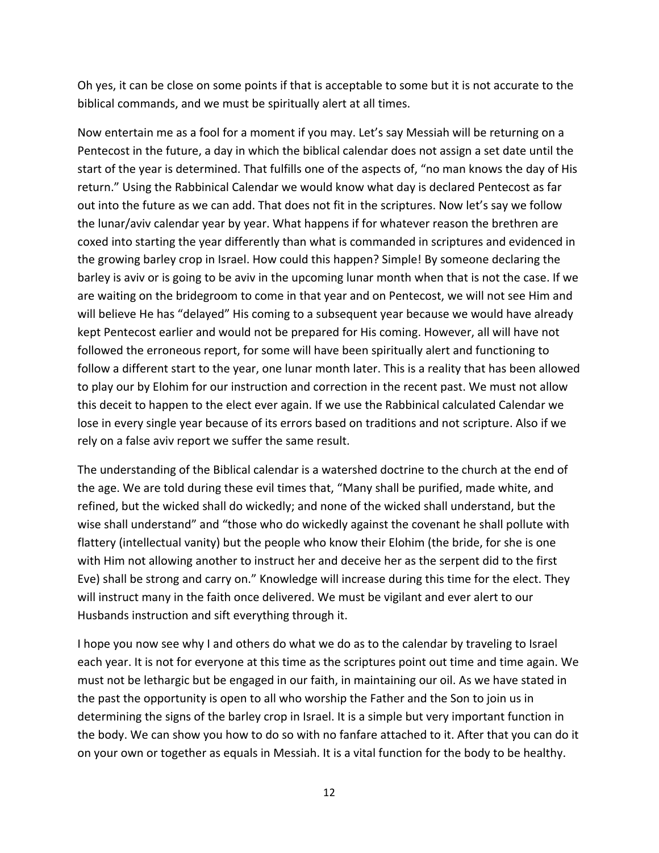Oh yes, it can be close on some points if that is acceptable to some but it is not accurate to the biblical commands, and we must be spiritually alert at all times.

Now entertain me as a fool for a moment if you may. Let's say Messiah will be returning on a Pentecost in the future, a day in which the biblical calendar does not assign a set date until the start of the year is determined. That fulfills one of the aspects of, "no man knows the day of His return." Using the Rabbinical Calendar we would know what day is declared Pentecost as far out into the future as we can add. That does not fit in the scriptures. Now let's say we follow the lunar/aviv calendar year by year. What happens if for whatever reason the brethren are coxed into starting the year differently than what is commanded in scriptures and evidenced in the growing barley crop in Israel. How could this happen? Simple! By someone declaring the barley is aviv or is going to be aviv in the upcoming lunar month when that is not the case. If we are waiting on the bridegroom to come in that year and on Pentecost, we will not see Him and will believe He has "delayed" His coming to a subsequent year because we would have already kept Pentecost earlier and would not be prepared for His coming. However, all will have not followed the erroneous report, for some will have been spiritually alert and functioning to follow a different start to the year, one lunar month later. This is a reality that has been allowed to play our by Elohim for our instruction and correction in the recent past. We must not allow this deceit to happen to the elect ever again. If we use the Rabbinical calculated Calendar we lose in every single year because of its errors based on traditions and not scripture. Also if we rely on a false aviv report we suffer the same result.

The understanding of the Biblical calendar is a watershed doctrine to the church at the end of the age. We are told during these evil times that, "Many shall be purified, made white, and refined, but the wicked shall do wickedly; and none of the wicked shall understand, but the wise shall understand" and "those who do wickedly against the covenant he shall pollute with flattery (intellectual vanity) but the people who know their Elohim (the bride, for she is one with Him not allowing another to instruct her and deceive her as the serpent did to the first Eve) shall be strong and carry on." Knowledge will increase during this time for the elect. They will instruct many in the faith once delivered. We must be vigilant and ever alert to our Husbands instruction and sift everything through it.

I hope you now see why I and others do what we do as to the calendar by traveling to Israel each year. It is not for everyone at this time as the scriptures point out time and time again. We must not be lethargic but be engaged in our faith, in maintaining our oil. As we have stated in the past the opportunity is open to all who worship the Father and the Son to join us in determining the signs of the barley crop in Israel. It is a simple but very important function in the body. We can show you how to do so with no fanfare attached to it. After that you can do it on your own or together as equals in Messiah. It is a vital function for the body to be healthy.